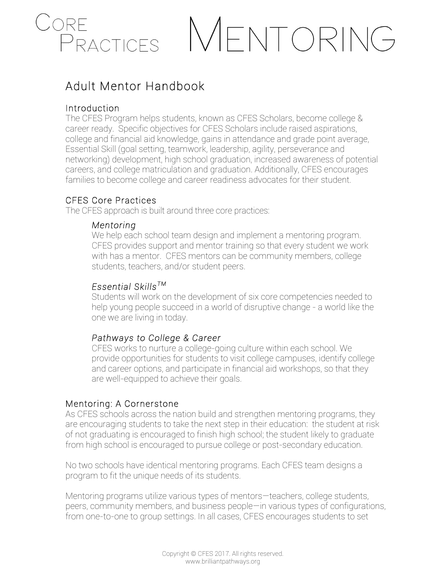

## MENTORING

### Adult Mentor Handbook

#### Introduction

The CFES Program helps students, known as CFES Scholars, become college & career ready. Specific objectives for CFES Scholars include raised aspirations, college and financial aid knowledge, gains in attendance and grade point average, Essential Skill (goal setting, teamwork, leadership, agility, perseverance and networking) development, high school graduation, increased awareness of potential careers, and college matriculation and graduation. Additionally, CFES encourages families to become college and career readiness advocates for their student.

#### CFES Core Practices

The CFES approach is built around three core practices:

#### *Mentoring*

We help each school team design and implement a mentoring program. CFES provides support and mentor training so that every student we work with has a mentor. CFES mentors can be community members, college students, teachers, and/or student peers.

#### *Essential SkillsTM*

Students will work on the development of six core competencies needed to help young people succeed in a world of disruptive change - a world like the one we are living in today.

#### *Pathways to College & Career*

CFES works to nurture a college-going culture within each school. We provide opportunities for students to visit college campuses, identify college and career options, and participate in financial aid workshops, so that they are well-equipped to achieve their goals.

#### Mentoring: A Cornerstone

As CFES schools across the nation build and strengthen mentoring programs, they are encouraging students to take the next step in their education: the student at risk of not graduating is encouraged to finish high school; the student likely to graduate from high school is encouraged to pursue college or post-secondary education.

No two schools have identical mentoring programs. Each CFES team designs a program to fit the unique needs of its students.

Mentoring programs utilize various types of mentors—teachers, college students, peers, community members, and business people—in various types of configurations, from one-to-one to group settings. In all cases, CFES encourages students to set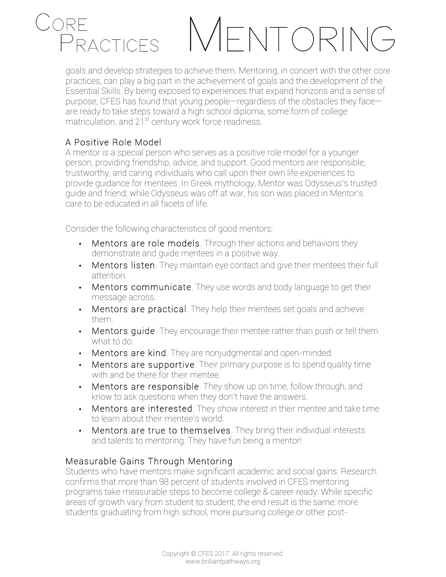### **CRF** PRACTICES

# ENTORING

goals and develop strategies to achieve them. Mentoring, in concert with the other core practices, can play a big part in the achievement of goals and the development of the Essential Skills. By being exposed to experiences that expand horizons and a sense of purpose, CFES has found that young people—regardless of the obstacles they face are ready to take steps toward a high school diploma, some form of college matriculation, and  $21^{st}$  century work force readiness.

#### A Positive Role Model

A mentor is a special person who serves as a positive role model for a younger person, providing friendship, advice, and support. Good mentors are responsible, trustworthy, and caring individuals who call upon their own life experiences to provide guidance for mentees. In Greek mythology, Mentor was Odysseus's trusted guide and friend; while Odysseus was off at war, his son was placed in Mentor's care to be educated in all facets of life.

Consider the following characteristics of good mentors:

- Mentors are role models. Through their actions and behaviors they demonstrate and guide mentees in a positive way.
- Mentors listen. They maintain eye contact and give their mentees their full attention.
- Mentors communicate. They use words and body language to get their message across.
- Mentors are practical. They help their mentees set goals and achieve them.
- Mentors quide. They encourage their mentee rather than push or tell them what to do.
- Mentors are kind. They are nonjudgmental and open-minded.
- Mentors are supportive. Their primary purpose is to spend quality time with and be there for their mentee.
- Mentors are responsible. They show up on time, follow through, and know to ask questions when they don't have the answers.
- Mentors are interested. They show interest in their mentee and take time to learn about their mentee's world.
- Mentors are true to themselves. They bring their individual interests and talents to mentoring. They have fun being a mentor!

#### Measurable Gains Through Mentoring

Students who have mentors make significant academic and social gains. Research confirms that more than 98 percent of students involved in CFES mentoring programs take measurable steps to become college & career ready. While specific areas of growth vary from student to student, the end result is the same: more students graduating from high school, more pursuing college or other post-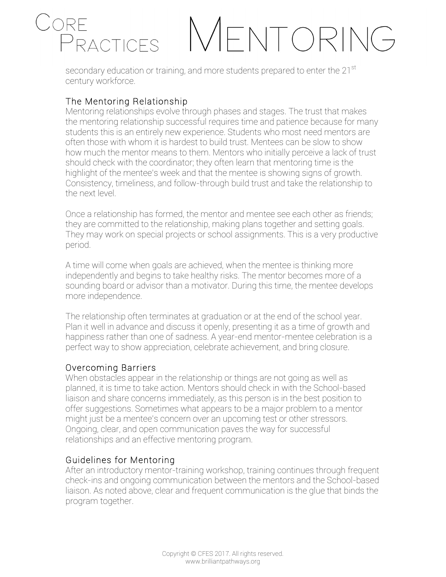### CORF **FNTORING** PRACTICES

secondary education or training, and more students prepared to enter the 21<sup>st</sup> century workforce.

#### The Mentoring Relationship

Mentoring relationships evolve through phases and stages. The trust that makes the mentoring relationship successful requires time and patience because for many students this is an entirely new experience. Students who most need mentors are often those with whom it is hardest to build trust. Mentees can be slow to show how much the mentor means to them. Mentors who initially perceive a lack of trust should check with the coordinator; they often learn that mentoring time is the highlight of the mentee's week and that the mentee is showing signs of growth. Consistency, timeliness, and follow-through build trust and take the relationship to the next level.

Once a relationship has formed, the mentor and mentee see each other as friends; they are committed to the relationship, making plans together and setting goals. They may work on special projects or school assignments. This is a very productive period.

A time will come when goals are achieved, when the mentee is thinking more independently and begins to take healthy risks. The mentor becomes more of a sounding board or advisor than a motivator. During this time, the mentee develops more independence.

The relationship often terminates at graduation or at the end of the school year. Plan it well in advance and discuss it openly, presenting it as a time of growth and happiness rather than one of sadness. A year-end mentor-mentee celebration is a perfect way to show appreciation, celebrate achievement, and bring closure.

#### Overcoming Barriers

When obstacles appear in the relationship or things are not going as well as planned, it is time to take action. Mentors should check in with the School-based liaison and share concerns immediately, as this person is in the best position to offer suggestions. Sometimes what appears to be a major problem to a mentor might just be a mentee's concern over an upcoming test or other stressors. Ongoing, clear, and open communication paves the way for successful relationships and an effective mentoring program.

#### Guidelines for Mentoring

After an introductory mentor-training workshop, training continues through frequent check-ins and ongoing communication between the mentors and the School-based liaison. As noted above, clear and frequent communication is the glue that binds the program together.